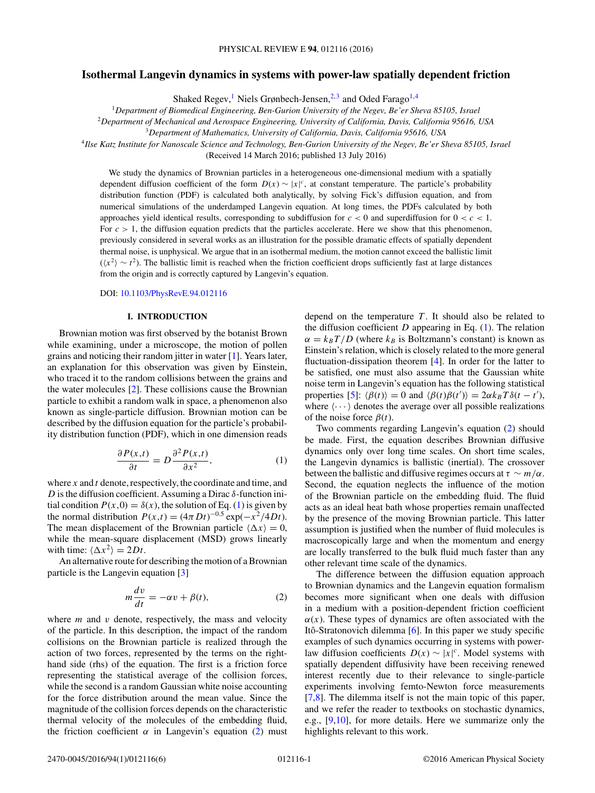# <span id="page-0-0"></span>**Isothermal Langevin dynamics in systems with power-law spatially dependent friction**

Shaked Regev,<sup>1</sup> Niels Grønbech-Jensen,<sup>2,3</sup> and Oded Farago<sup>1,4</sup>

<sup>1</sup>*Department of Biomedical Engineering, Ben-Gurion University of the Negev, Be'er Sheva 85105, Israel*

<sup>2</sup>*Department of Mechanical and Aerospace Engineering, University of California, Davis, California 95616, USA*

<sup>3</sup>*Department of Mathematics, University of California, Davis, California 95616, USA*

<sup>4</sup>*Ilse Katz Institute for Nanoscale Science and Technology, Ben-Gurion University of the Negev, Be'er Sheva 85105, Israel*

(Received 14 March 2016; published 13 July 2016)

We study the dynamics of Brownian particles in a heterogeneous one-dimensional medium with a spatially dependent diffusion coefficient of the form  $D(x) \sim |x|^c$ , at constant temperature. The particle's probability distribution function (PDF) is calculated both analytically, by solving Fick's diffusion equation, and from numerical simulations of the underdamped Langevin equation. At long times, the PDFs calculated by both approaches yield identical results, corresponding to subdiffusion for *c <* 0 and superdiffusion for 0 *<c<* 1. For  $c > 1$ , the diffusion equation predicts that the particles accelerate. Here we show that this phenomenon, previously considered in several works as an illustration for the possible dramatic effects of spatially dependent thermal noise, is unphysical. We argue that in an isothermal medium, the motion cannot exceed the ballistic limit  $(\langle x^2 \rangle \sim t^2)$ . The ballistic limit is reached when the friction coefficient drops sufficiently fast at large distances from the origin and is correctly captured by Langevin's equation.

DOI: [10.1103/PhysRevE.94.012116](http://dx.doi.org/10.1103/PhysRevE.94.012116)

### **I. INTRODUCTION**

Brownian motion was first observed by the botanist Brown while examining, under a microscope, the motion of pollen grains and noticing their random jitter in water [\[1\]](#page-5-0). Years later, an explanation for this observation was given by Einstein, who traced it to the random collisions between the grains and the water molecules [\[2\]](#page-5-0). These collisions cause the Brownian particle to exhibit a random walk in space, a phenomenon also known as single-particle diffusion. Brownian motion can be described by the diffusion equation for the particle's probability distribution function (PDF), which in one dimension reads

$$
\frac{\partial P(x,t)}{\partial t} = D \frac{\partial^2 P(x,t)}{\partial x^2},\tag{1}
$$

where *x* and *t* denote, respectively, the coordinate and time, and *D* is the diffusion coefficient. Assuming a Dirac *δ*-function initial condition  $P(x,0) = \delta(x)$ , the solution of Eq. (1) is given by the normal distribution  $P(x,t) = (4πDt)^{-0.5}$  exp( $-x^2/4Dt$ ). The mean displacement of the Brownian particle  $\langle \Delta x \rangle = 0$ , while the mean-square displacement (MSD) grows linearly with time:  $\langle \Delta x^2 \rangle = 2Dt$ .

An alternative route for describing the motion of a Brownian particle is the Langevin equation [\[3\]](#page-5-0)

$$
m\frac{dv}{dt} = -\alpha v + \beta(t),\tag{2}
$$

where  $m$  and  $v$  denote, respectively, the mass and velocity of the particle. In this description, the impact of the random collisions on the Brownian particle is realized through the action of two forces, represented by the terms on the righthand side (rhs) of the equation. The first is a friction force representing the statistical average of the collision forces, while the second is a random Gaussian white noise accounting for the force distribution around the mean value. Since the magnitude of the collision forces depends on the characteristic thermal velocity of the molecules of the embedding fluid, the friction coefficient  $\alpha$  in Langevin's equation (2) must

depend on the temperature  $T$ . It should also be related to the diffusion coefficient  $D$  appearing in Eq.  $(1)$ . The relation  $\alpha = k_B T/D$  (where  $k_B$  is Boltzmann's constant) is known as Einstein's relation, which is closely related to the more general fluctuation-dissipation theorem [\[4\]](#page-5-0). In order for the latter to be satisfied, one must also assume that the Gaussian white noise term in Langevin's equation has the following statistical properties [\[5\]](#page-5-0):  $\langle \beta(t) \rangle = 0$  and  $\langle \beta(t) \beta(t') \rangle = 2\alpha k_B T \delta(t - t'),$ where  $\langle \cdots \rangle$  denotes the average over all possible realizations of the noise force  $\beta(t)$ .

Two comments regarding Langevin's equation (2) should be made. First, the equation describes Brownian diffusive dynamics only over long time scales. On short time scales, the Langevin dynamics is ballistic (inertial). The crossover between the ballistic and diffusive regimes occurs at  $\tau \sim m/\alpha$ . Second, the equation neglects the influence of the motion of the Brownian particle on the embedding fluid. The fluid acts as an ideal heat bath whose properties remain unaffected by the presence of the moving Brownian particle. This latter assumption is justified when the number of fluid molecules is macroscopically large and when the momentum and energy are locally transferred to the bulk fluid much faster than any other relevant time scale of the dynamics.

The difference between the diffusion equation approach to Brownian dynamics and the Langevin equation formalism becomes more significant when one deals with diffusion in a medium with a position-dependent friction coefficient  $\alpha(x)$ . These types of dynamics are often associated with the Itô-Stratonovich dilemma  $[6]$  $[6]$ . In this paper we study specific examples of such dynamics occurring in systems with powerlaw diffusion coefficients  $D(x) \sim |x|^c$ . Model systems with spatially dependent diffusivity have been receiving renewed interest recently due to their relevance to single-particle experiments involving femto-Newton force measurements  $[7,8]$ . The dilemma itself is not the main topic of this paper, and we refer the reader to textbooks on stochastic dynamics, e.g., [\[9,10\]](#page-5-0), for more details. Here we summarize only the highlights relevant to this work.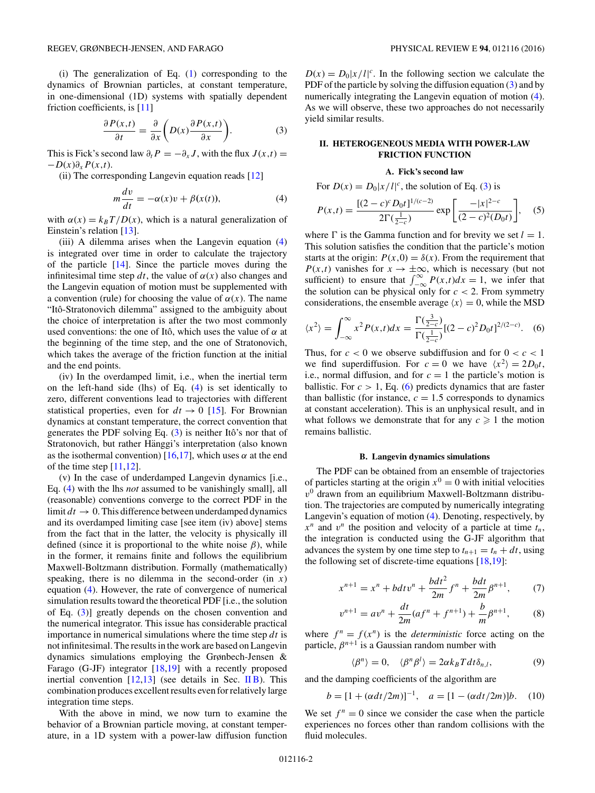<span id="page-1-0"></span>(i) The generalization of Eq. [\(1\)](#page-0-0) corresponding to the dynamics of Brownian particles, at constant temperature, in one-dimensional (1D) systems with spatially dependent friction coefficients, is [\[11\]](#page-5-0)

$$
\frac{\partial P(x,t)}{\partial t} = \frac{\partial}{\partial x} \left( D(x) \frac{\partial P(x,t)}{\partial x} \right). \tag{3}
$$

This is Fick's second law  $\partial_t P = -\partial_x J$ , with the flux  $J(x,t) =$ −*D*(*x*)*∂xP*(*x,t*).

(ii) The corresponding Langevin equation reads [\[12\]](#page-5-0)

$$
m\frac{dv}{dt} = -\alpha(x)v + \beta(x(t)),
$$
\n(4)

with  $\alpha(x) = k_B T / D(x)$ , which is a natural generalization of Einstein's relation [\[13\]](#page-5-0).

(iii) A dilemma arises when the Langevin equation (4) is integrated over time in order to calculate the trajectory of the particle [\[14\]](#page-5-0). Since the particle moves during the infinitesimal time step  $dt$ , the value of  $\alpha(x)$  also changes and the Langevin equation of motion must be supplemented with a convention (rule) for choosing the value of  $\alpha(x)$ . The name "Ito-Stratonovich dilemma" assigned to the ambiguity about ˆ the choice of interpretation is after the two most commonly used conventions: the one of Itô, which uses the value of  $\alpha$  at the beginning of the time step, and the one of Stratonovich, which takes the average of the friction function at the initial and the end points.

(iv) In the overdamped limit, i.e., when the inertial term on the left-hand side (lhs) of Eq. (4) is set identically to zero, different conventions lead to trajectories with different statistical properties, even for  $dt \rightarrow 0$  [\[15\]](#page-5-0). For Brownian dynamics at constant temperature, the correct convention that generates the PDF solving Eq.  $(3)$  is neither Itô's nor that of Stratonovich, but rather Hänggi's interpretation (also known as the isothermal convention)  $[16,17]$ , which uses  $\alpha$  at the end of the time step  $[11,12]$ .

(v) In the case of underdamped Langevin dynamics [i.e., Eq. (4) with the lhs *not* assumed to be vanishingly small], all (reasonable) conventions converge to the correct PDF in the limit  $dt \to 0$ . This difference between underdamped dynamics and its overdamped limiting case [see item (iv) above] stems from the fact that in the latter, the velocity is physically ill defined (since it is proportional to the white noise *β*), while in the former, it remains finite and follows the equilibrium Maxwell-Boltzmann distribution. Formally (mathematically) speaking, there is no dilemma in the second-order (in  $x$ ) equation (4). However, the rate of convergence of numerical simulation results toward the theoretical PDF [i.e., the solution of Eq. (3)] greatly depends on the chosen convention and the numerical integrator. This issue has considerable practical importance in numerical simulations where the time step *dt* is not infinitesimal. The results in the work are based on Langevin dynamics simulations employing the Grønbech-Jensen & Farago (G-JF) integrator  $[18,19]$  with a recently proposed inertial convention  $[12,13]$  (see details in Sec. II B). This combination produces excellent results even for relatively large integration time steps.

With the above in mind, we now turn to examine the behavior of a Brownian particle moving, at constant temperature, in a 1D system with a power-law diffusion function

 $D(x) = D_0|x/l|^c$ . In the following section we calculate the PDF of the particle by solving the diffusion equation  $(3)$  and by numerically integrating the Langevin equation of motion  $(4)$ . As we will observe, these two approaches do not necessarily yield similar results.

## **II. HETEROGENEOUS MEDIA WITH POWER-LAW FRICTION FUNCTION**

#### **A. Fick's second law**

For  $D(x) = D_0|x/l|^c$ , the solution of Eq. (3) is

$$
P(x,t) = \frac{[(2-c)^c D_0 t]^{1/(c-2)}}{2\Gamma(\frac{1}{2-c})} \exp\left[\frac{-|x|^{2-c}}{(2-c)^2(D_0 t)}\right],\quad (5)
$$

where  $\Gamma$  is the Gamma function and for brevity we set  $l = 1$ . This solution satisfies the condition that the particle's motion starts at the origin:  $P(x,0) = \delta(x)$ . From the requirement that *P*(*x,t*) vanishes for  $x \to \pm \infty$ , which is necessary (but not sufficient) to ensure that  $\int_{-\infty}^{\infty} P(x,t)dx = 1$ , we infer that the solution can be physical only for  $c < 2$ . From symmetry considerations, the ensemble average  $\langle x \rangle = 0$ , while the MSD

$$
\langle x^2 \rangle = \int_{-\infty}^{\infty} x^2 P(x, t) dx = \frac{\Gamma(\frac{3}{2-c})}{\Gamma(\frac{1}{2-c})} [(2-c)^2 D_0 t]^{2/(2-c)}.
$$
 (6)

Thus, for  $c < 0$  we observe subdiffusion and for  $0 < c < 1$ we find superdiffusion. For  $c = 0$  we have  $\langle x^2 \rangle = 2D_0t$ , i.e., normal diffusion, and for  $c = 1$  the particle's motion is ballistic. For  $c > 1$ , Eq. (6) predicts dynamics that are faster than ballistic (for instance,  $c = 1.5$  corresponds to dynamics at constant acceleration). This is an unphysical result, and in what follows we demonstrate that for any  $c \geq 1$  the motion remains ballistic.

#### **B. Langevin dynamics simulations**

The PDF can be obtained from an ensemble of trajectories of particles starting at the origin  $x^0 = 0$  with initial velocities  $v<sup>0</sup>$  drawn from an equilibrium Maxwell-Boltzmann distribution. The trajectories are computed by numerically integrating Langevin's equation of motion (4). Denoting, respectively, by  $x^n$  and  $v^n$  the position and velocity of a particle at time  $t_n$ , the integration is conducted using the G-JF algorithm that advances the system by one time step to  $t_{n+1} = t_n + dt$ , using the following set of discrete-time equations [\[18,19\]](#page-5-0):

$$
x^{n+1} = x^n + b dt v^n + \frac{b dt^2}{2m} f^n + \frac{b dt}{2m} \beta^{n+1},
$$
 (7)

$$
v^{n+1} = av^n + \frac{dt}{2m}(af^n + f^{n+1}) + \frac{b}{m}\beta^{n+1},
$$
 (8)

where  $f^n = f(x^n)$  is the *deterministic* force acting on the particle,  $\beta^{n+1}$  is a Gaussian random number with

$$
\langle \beta^n \rangle = 0, \quad \langle \beta^n \beta^l \rangle = 2\alpha k_B T dt \delta_{n,l}, \tag{9}
$$

and the damping coefficients of the algorithm are

$$
b = [1 + (\alpha dt/2m)]^{-1}, \quad a = [1 - (\alpha dt/2m)]b. \quad (10)
$$

We set  $f^n = 0$  since we consider the case when the particle experiences no forces other than random collisions with the fluid molecules.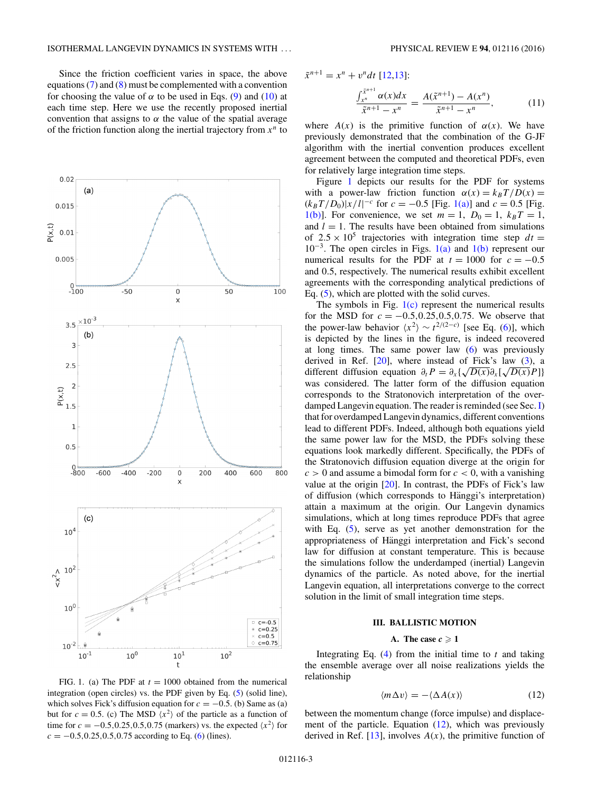<span id="page-2-0"></span>Since the friction coefficient varies in space, the above equations  $(7)$  and  $(8)$  must be complemented with a convention for choosing the value of  $\alpha$  to be used in Eqs. [\(9\)](#page-1-0) and [\(10\)](#page-1-0) at each time step. Here we use the recently proposed inertial convention that assigns to  $\alpha$  the value of the spatial average of the friction function along the inertial trajectory from  $x^n$  to



FIG. 1. (a) The PDF at  $t = 1000$  obtained from the numerical integration (open circles) vs. the PDF given by Eq. [\(5\)](#page-1-0) (solid line), which solves Fick's diffusion equation for  $c = -0.5$ . (b) Same as (a) but for  $c = 0.5$ . (c) The MSD  $\langle x^2 \rangle$  of the particle as a function of time for  $c = -0.5, 0.25, 0.5, 0.75$  (markers) vs. the expected  $\langle x^2 \rangle$  for *c* = −0*.*5*,*0*.*25*,*0*.*5*,*0*.*75 according to Eq. [\(6\)](#page-1-0) (lines).

 $\tilde{x}^{n+1} = x^n + v^n dt$  [\[12,13\]](#page-5-0):

$$
\frac{\int_{x^n}^{\tilde{x}^{n+1}} \alpha(x) dx}{\tilde{x}^{n+1} - x^n} = \frac{A(\tilde{x}^{n+1}) - A(x^n)}{\tilde{x}^{n+1} - x^n},
$$
(11)

where  $A(x)$  is the primitive function of  $\alpha(x)$ . We have previously demonstrated that the combination of the G-JF algorithm with the inertial convention produces excellent agreement between the computed and theoretical PDFs, even for relatively large integration time steps.

Figure 1 depicts our results for the PDF for systems with a power-law friction function  $\alpha(x) = k_B T/D(x) =$  $(k_B T/D_0)|x/l|^{-c}$  for  $c = -0.5$  [Fig. 1(a)] and  $c = 0.5$  [Fig. 1(b)]. For convenience, we set  $m = 1$ ,  $D_0 = 1$ ,  $k_B T = 1$ , and  $l = 1$ . The results have been obtained from simulations of  $2.5 \times 10^5$  trajectories with integration time step  $dt =$  $10^{-3}$ . The open circles in Figs.  $1(a)$  and  $1(b)$  represent our numerical results for the PDF at  $t = 1000$  for  $c = -0.5$ and 0*.*5, respectively. The numerical results exhibit excellent agreements with the corresponding analytical predictions of Eq. [\(5\)](#page-1-0), which are plotted with the solid curves.

The symbols in Fig.  $1(c)$  represent the numerical results for the MSD for  $c = -0.5, 0.25, 0.5, 0.75$ . We observe that the power-law behavior  $\langle x^2 \rangle \sim t^{2/(2-c)}$  [see Eq. [\(6\)](#page-1-0)], which is depicted by the lines in the figure, is indeed recovered at long times. The same power law [\(6\)](#page-1-0) was previously derived in Ref.  $[20]$ , where instead of Fick's law  $(3)$ , a different diffusion equation  $\partial_t P = \partial_x \{ \sqrt{D(x)} \partial_x [ \sqrt{D(x)} P ] \}$ was considered. The latter form of the diffusion equation corresponds to the Stratonovich interpretation of the overdamped Langevin equation. The reader is reminded (see Sec. [I\)](#page-0-0) that for overdamped Langevin dynamics, different conventions lead to different PDFs. Indeed, although both equations yield the same power law for the MSD, the PDFs solving these equations look markedly different. Specifically, the PDFs of the Stratonovich diffusion equation diverge at the origin for  $c > 0$  and assume a bimodal form for  $c < 0$ , with a vanishing value at the origin [\[20\]](#page-5-0). In contrast, the PDFs of Fick's law of diffusion (which corresponds to Hänggi's interpretation) attain a maximum at the origin. Our Langevin dynamics simulations, which at long times reproduce PDFs that agree with Eq. [\(5\)](#page-1-0), serve as yet another demonstration for the appropriateness of Hänggi interpretation and Fick's second law for diffusion at constant temperature. This is because the simulations follow the underdamped (inertial) Langevin dynamics of the particle. As noted above, for the inertial Langevin equation, all interpretations converge to the correct solution in the limit of small integration time steps.

### **III. BALLISTIC MOTION**

### **A.** The case  $c \ge 1$

Integrating Eq. [\(4\)](#page-1-0) from the initial time to *t* and taking the ensemble average over all noise realizations yields the relationship

$$
\langle m \Delta v \rangle = -\langle \Delta A(x) \rangle \tag{12}
$$

between the momentum change (force impulse) and displacement of the particle. Equation (12), which was previously derived in Ref.  $[13]$ , involves  $A(x)$ , the primitive function of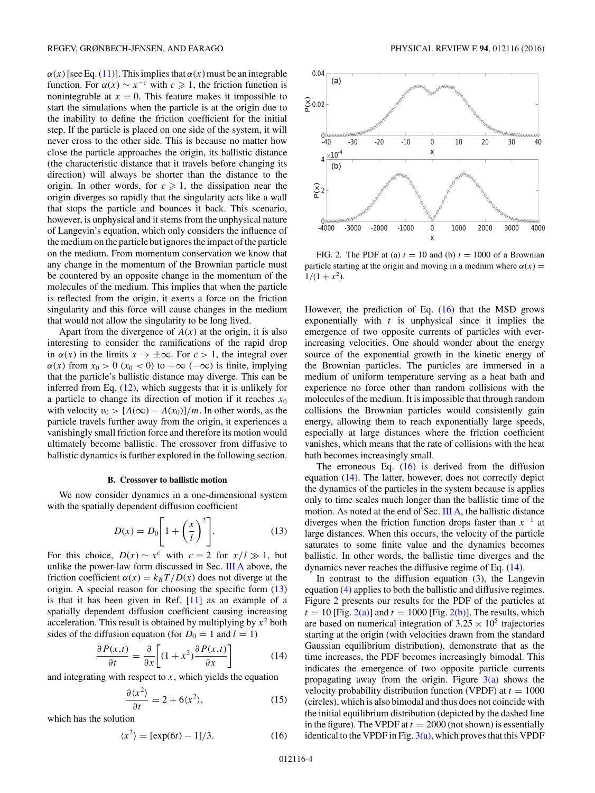<span id="page-3-0"></span> $\alpha(x)$  [see Eq. [\(11\)](#page-2-0)]. This implies that  $\alpha(x)$  must be an integrable function. For  $\alpha(x) \sim x^{-c}$  with  $c \geq 1$ , the friction function is nonintegrable at  $x = 0$ . This feature makes it impossible to start the simulations when the particle is at the origin due to the inability to define the friction coefficient for the initial step. If the particle is placed on one side of the system, it will never cross to the other side. This is because no matter how close the particle approaches the origin, its ballistic distance (the characteristic distance that it travels before changing its direction) will always be shorter than the distance to the origin. In other words, for  $c \geq 1$ , the dissipation near the origin diverges so rapidly that the singularity acts like a wall that stops the particle and bounces it back. This scenario, however, is unphysical and it stems from the unphysical nature of Langevin's equation, which only considers the influence of the medium on the particle but ignores the impact of the particle on the medium. From momentum conservation we know that any change in the momentum of the Brownian particle must be countered by an opposite change in the momentum of the molecules of the medium. This implies that when the particle is reflected from the origin, it exerts a force on the friction singularity and this force will cause changes in the medium that would not allow the singularity to be long lived.

Apart from the divergence of  $A(x)$  at the origin, it is also interesting to consider the ramifications of the rapid drop in  $\alpha(x)$  in the limits  $x \to \pm \infty$ . For  $c > 1$ , the integral over  $\alpha(x)$  from  $x_0 > 0$  ( $x_0 < 0$ ) to  $+\infty$  ( $-\infty$ ) is finite, implying that the particle's ballistic distance may diverge. This can be inferred from Eq. [\(12\)](#page-2-0), which suggests that it is unlikely for a particle to change its direction of motion if it reaches *x*<sup>0</sup> with velocity  $v_0 > [A(\infty) - A(x_0)]/m$ . In other words, as the particle travels further away from the origin, it experiences a vanishingly small friction force and therefore its motion would ultimately become ballistic. The crossover from diffusive to ballistic dynamics is further explored in the following section.

#### **B. Crossover to ballistic motion**

We now consider dynamics in a one-dimensional system with the spatially dependent diffusion coefficient

$$
D(x) = D_0 \left[ 1 + \left(\frac{x}{l}\right)^2 \right].
$$
 (13)

For this choice,  $D(x) \sim x^c$  with  $c = 2$  for  $x/l \gg 1$ , but unlike the power-law form discussed in Sec. [III A](#page-2-0) above, the friction coefficient  $\alpha(x) = k_B T/D(x)$  does not diverge at the origin. A special reason for choosing the specific form (13) is that it has been given in Ref. [\[11\]](#page-5-0) as an example of a spatially dependent diffusion coefficient causing increasing acceleration. This result is obtained by multiplying by  $x^2$  both sides of the diffusion equation (for  $D_0 = 1$  and  $l = 1$ )

$$
\frac{\partial P(x,t)}{\partial t} = \frac{\partial}{\partial x} \left[ (1+x^2) \frac{\partial P(x,t)}{\partial x} \right] \tag{14}
$$

and integrating with respect to *x*, which yields the equation

$$
\frac{\partial \langle x^2 \rangle}{\partial t} = 2 + 6\langle x^2 \rangle, \tag{15}
$$

which has the solution

$$
\langle x^2 \rangle = [\exp(6t) - 1]/3. \tag{16}
$$



FIG. 2. The PDF at (a)  $t = 10$  and (b)  $t = 1000$  of a Brownian particle starting at the origin and moving in a medium where  $\alpha(x)$  =  $1/(1 + x^2)$ .

However, the prediction of Eq. (16) that the MSD grows exponentially with *t* is unphysical since it implies the emergence of two opposite currents of particles with everincreasing velocities. One should wonder about the energy source of the exponential growth in the kinetic energy of the Brownian particles. The particles are immersed in a medium of uniform temperature serving as a heat bath and experience no force other than random collisions with the molecules of the medium. It is impossible that through random collisions the Brownian particles would consistently gain energy, allowing them to reach exponentially large speeds, especially at large distances where the friction coefficient vanishes, which means that the rate of collisions with the heat bath becomes increasingly small.

The erroneous Eq.  $(16)$  is derived from the diffusion equation (14). The latter, however, does not correctly depict the dynamics of the particles in the system because is applies only to time scales much longer than the ballistic time of the motion. As noted at the end of Sec. [III A,](#page-2-0) the ballistic distance diverges when the friction function drops faster than *x*−<sup>1</sup> at large distances. When this occurs, the velocity of the particle saturates to some finite value and the dynamics becomes ballistic. In other words, the ballistic time diverges and the dynamics never reaches the diffusive regime of Eq. (14).

In contrast to the diffusion equation  $(3)$ , the Langevin equation [\(4\)](#page-1-0) applies to both the ballistic and diffusive regimes. Figure 2 presents our results for the PDF of the particles at  $t = 10$  [Fig.  $2(a)$ ] and  $t = 1000$  [Fig.  $2(b)$ ]. The results, which are based on numerical integration of  $3.25 \times 10^5$  trajectories starting at the origin (with velocities drawn from the standard Gaussian equilibrium distribution), demonstrate that as the time increases, the PDF becomes increasingly bimodal. This indicates the emergence of two opposite particle currents propagating away from the origin. Figure  $3(a)$  shows the velocity probability distribution function (VPDF) at  $t = 1000$ (circles), which is also bimodal and thus does not coincide with the initial equilibrium distribution (depicted by the dashed line in the figure). The VPDF at  $t = 2000$  (not shown) is essentially identical to the VPDF in Fig.  $3(a)$ , which proves that this VPDF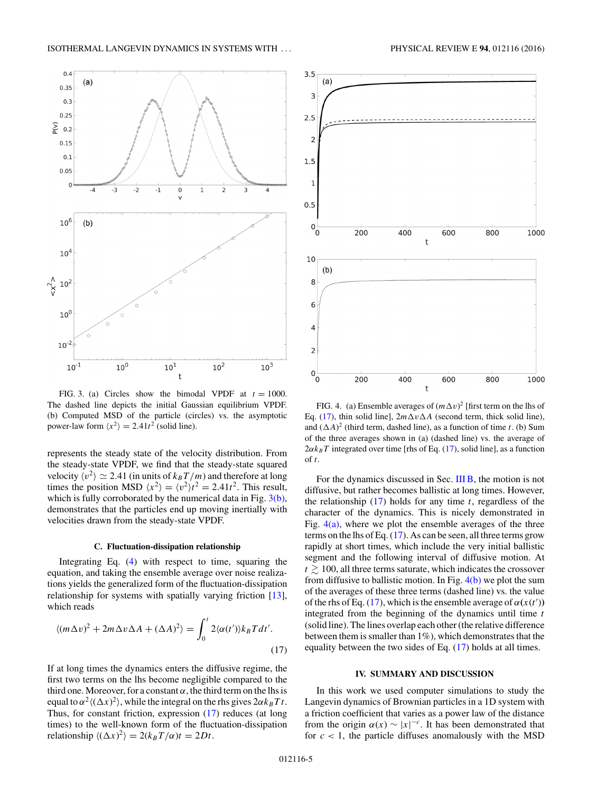<span id="page-4-0"></span>

FIG. 3. (a) Circles show the bimodal VPDF at  $t = 1000$ . The dashed line depicts the initial Gaussian equilibrium VPDF. (b) Computed MSD of the particle (circles) vs. the asymptotic power-law form  $\langle x^2 \rangle = 2.41t^2$  (solid line).

represents the steady state of the velocity distribution. From the steady-state VPDF, we find that the steady-state squared velocity  $\langle v^2 \rangle \simeq 2.41$  (in units of  $k_B T/m$ ) and therefore at long times the position MSD  $\langle x^2 \rangle = \langle v^2 \rangle t^2 = 2.41t^2$ . This result, which is fully corroborated by the numerical data in Fig.  $3(b)$ , demonstrates that the particles end up moving inertially with velocities drawn from the steady-state VPDF.

### **C. Fluctuation-dissipation relationship**

Integrating Eq. [\(4\)](#page-1-0) with respect to time, squaring the equation, and taking the ensemble average over noise realizations yields the generalized form of the fluctuation-dissipation relationship for systems with spatially varying friction [\[13\]](#page-5-0), which reads

$$
\langle (m\Delta v)^2 + 2m\Delta v \Delta A + (\Delta A)^2 \rangle = \int_0^t 2\langle \alpha(t') \rangle k_B T dt'.
$$
\n(17)

If at long times the dynamics enters the diffusive regime, the first two terms on the lhs become negligible compared to the third one. Moreover, for a constant  $\alpha$ , the third term on the lhs is equal to  $\alpha^2 \langle (\Delta x)^2 \rangle$ , while the integral on the rhs gives  $2\alpha k_B T t$ . Thus, for constant friction, expression (17) reduces (at long times) to the well-known form of the fluctuation-dissipation relationship  $\langle (\Delta x)^2 \rangle = 2(k_B T/\alpha)t = 2Dt$ .



FIG. 4. (a) Ensemble averages of  $(m \Delta v)^2$  [first term on the lhs of Eq. (17), thin solid line],  $2m\Delta v \Delta A$  (second term, thick solid line), and  $(\Delta A)^2$  (third term, dashed line), as a function of time *t*. (b) Sum of the three averages shown in (a) (dashed line) vs. the average of  $2\alpha k_B T$  integrated over time [rhs of Eq. (17), solid line], as a function of *t*.

For the dynamics discussed in Sec. [III B,](#page-3-0) the motion is not diffusive, but rather becomes ballistic at long times. However, the relationship (17) holds for any time *t*, regardless of the character of the dynamics. This is nicely demonstrated in Fig.  $4(a)$ , where we plot the ensemble averages of the three terms on the lhs of Eq. (17). As can be seen, all three terms grow rapidly at short times, which include the very initial ballistic segment and the following interval of diffusive motion. At  $t \gtrsim 100$ , all three terms saturate, which indicates the crossover from diffusive to ballistic motion. In Fig.  $4(b)$  we plot the sum of the averages of these three terms (dashed line) vs. the value of the rhs of Eq. (17), which is the ensemble average of  $\alpha(x(t))$ integrated from the beginning of the dynamics until time *t* (solid line). The lines overlap each other (the relative difference between them is smaller than 1%), which demonstrates that the equality between the two sides of Eq. (17) holds at all times.

### **IV. SUMMARY AND DISCUSSION**

In this work we used computer simulations to study the Langevin dynamics of Brownian particles in a 1D system with a friction coefficient that varies as a power law of the distance from the origin  $\alpha(x) \sim |x|^{-c}$ . It has been demonstrated that for  $c < 1$ , the particle diffuses anomalously with the MSD